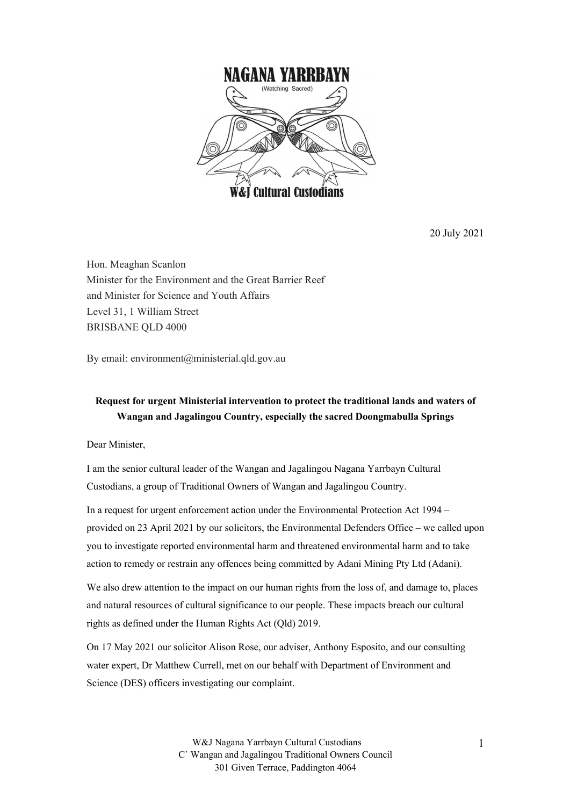

20 July 2021

Hon. Meaghan Scanlon Minister for the Environment and the Great Barrier Reef and Minister for Science and Youth Affairs Level 31, 1 William Street BRISBANE QLD 4000

By email: environment@ministerial.qld.gov.au

## **Request for urgent Ministerial intervention to protect the traditional lands and waters of Wangan and Jagalingou Country, especially the sacred Doongmabulla Springs**

Dear Minister,

I am the senior cultural leader of the Wangan and Jagalingou Nagana Yarrbayn Cultural Custodians, a group of Traditional Owners of Wangan and Jagalingou Country.

In a request for urgent enforcement action under the Environmental Protection Act 1994 – provided on 23 April 2021 by our solicitors, the Environmental Defenders Office – we called upon you to investigate reported environmental harm and threatened environmental harm and to take action to remedy or restrain any offences being committed by Adani Mining Pty Ltd (Adani).

We also drew attention to the impact on our human rights from the loss of, and damage to, places and natural resources of cultural significance to our people. These impacts breach our cultural rights as defined under the Human Rights Act (Qld) 2019.

On 17 May 2021 our solicitor Alison Rose, our adviser, Anthony Esposito, and our consulting water expert, Dr Matthew Currell, met on our behalf with Department of Environment and Science (DES) officers investigating our complaint.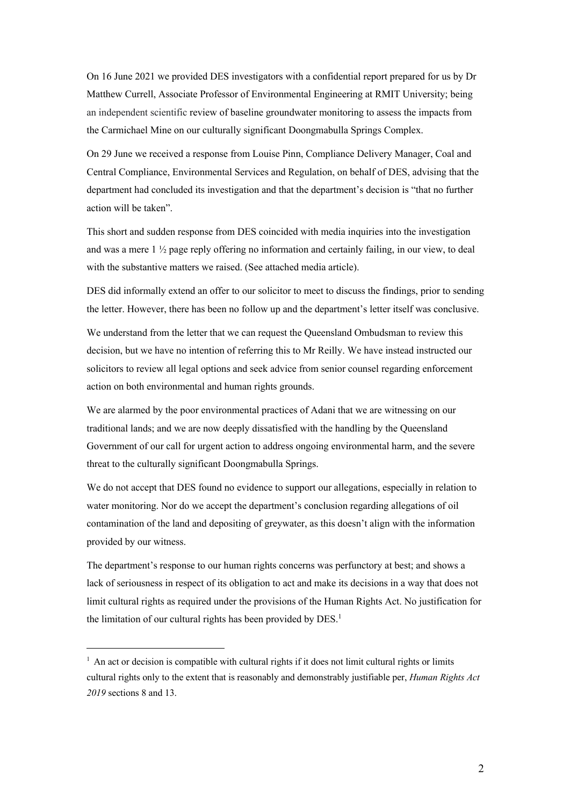On 16 June 2021 we provided DES investigators with a confidential report prepared for us by Dr Matthew Currell, Associate Professor of Environmental Engineering at RMIT University; being an independent scientific review of baseline groundwater monitoring to assess the impacts from the Carmichael Mine on our culturally significant Doongmabulla Springs Complex.

On 29 June we received a response from Louise Pinn, Compliance Delivery Manager, Coal and Central Compliance, Environmental Services and Regulation, on behalf of DES, advising that the department had concluded its investigation and that the department's decision is "that no further action will be taken".

This short and sudden response from DES coincided with media inquiries into the investigation and was a mere 1 ½ page reply offering no information and certainly failing, in our view, to deal with the substantive matters we raised. (See attached media article).

DES did informally extend an offer to our solicitor to meet to discuss the findings, prior to sending the letter. However, there has been no follow up and the department's letter itself was conclusive.

We understand from the letter that we can request the Queensland Ombudsman to review this decision, but we have no intention of referring this to Mr Reilly. We have instead instructed our solicitors to review all legal options and seek advice from senior counsel regarding enforcement action on both environmental and human rights grounds.

We are alarmed by the poor environmental practices of Adani that we are witnessing on our traditional lands; and we are now deeply dissatisfied with the handling by the Queensland Government of our call for urgent action to address ongoing environmental harm, and the severe threat to the culturally significant Doongmabulla Springs.

We do not accept that DES found no evidence to support our allegations, especially in relation to water monitoring. Nor do we accept the department's conclusion regarding allegations of oil contamination of the land and depositing of greywater, as this doesn't align with the information provided by our witness.

The department's response to our human rights concerns was perfunctory at best; and shows a lack of seriousness in respect of its obligation to act and make its decisions in a way that does not limit cultural rights as required under the provisions of the Human Rights Act. No justification for the limitation of our cultural rights has been provided by DES.<sup>1</sup>

 $<sup>1</sup>$  An act or decision is compatible with cultural rights if it does not limit cultural rights or limits</sup> cultural rights only to the extent that is reasonably and demonstrably justifiable per, *Human Rights Act 2019* sections 8 and 13.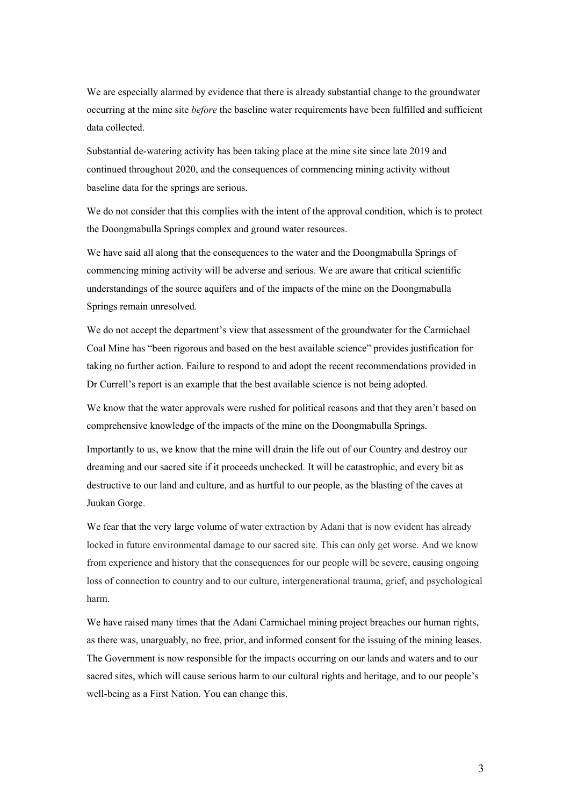We are especially alarmed by evidence that there is already substantial change to the groundwater occurring at the mine site *before* the baseline water requirements have been fulfilled and sufficient data collected.

Substantial de-watering activity has been taking place at the mine site since late 2019 and continued throughout 2020, and the consequences of commencing mining activity without baseline data for the springs are serious.

We do not consider that this complies with the intent of the approval condition, which is to protect the Doongmabulla Springs complex and ground water resources.

We have said all along that the consequences to the water and the Doongmabulla Springs of commencing mining activity will be adverse and serious. We are aware that critical scientific understandings of the source aquifers and of the impacts of the mine on the Doongmabulla Springs remain unresolved.

We do not accept the department's view that assessment of the groundwater for the Carmichael Coal Mine has "been rigorous and based on the best available science" provides justification for taking no further action. Failure to respond to and adopt the recent recommendations provided in Dr Currell's report is an example that the best available science is not being adopted.

We know that the water approvals were rushed for political reasons and that they aren't based on comprehensive knowledge of the impacts of the mine on the Doongmabulla Springs.

Importantly to us, we know that the mine will drain the life out of our Country and destroy our dreaming and our sacred site if it proceeds unchecked. It will be catastrophic, and every bit as destructive to our land and culture, and as hurtful to our people, as the blasting of the caves at Juukan Gorge.

We fear that the very large volume of water extraction by Adani that is now evident has already locked in future environmental damage to our sacred site. This can only get worse. And we know from experience and history that the consequences for our people will be severe, causing ongoing loss of connection to country and to our culture, intergenerational trauma, grief, and psychological harm.

We have raised many times that the Adani Carmichael mining project breaches our human rights, as there was, unarguably, no free, prior, and informed consent for the issuing of the mining leases. The Government is now responsible for the impacts occurring on our lands and waters and to our sacred sites, which will cause serious harm to our cultural rights and heritage, and to our people's well-being as a First Nation. You can change this.